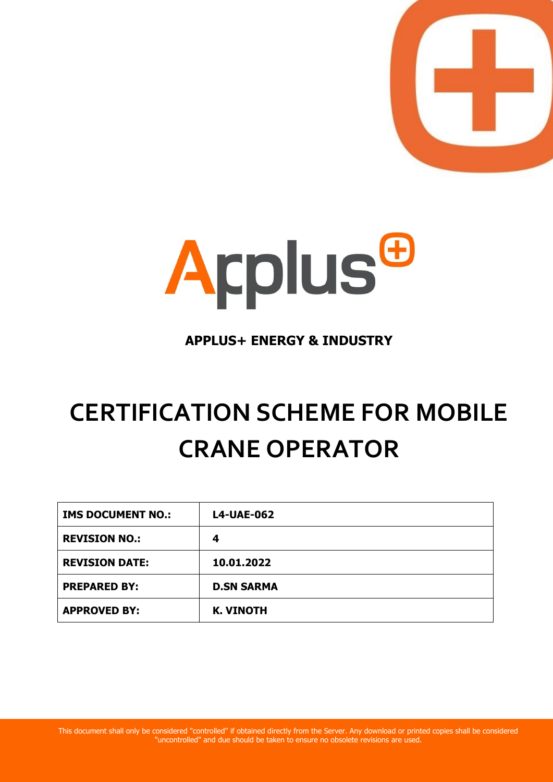



# **APPLUS+ ENERGY & INDUSTRY**

# **CERTIFICATION SCHEME FOR MOBILE CRANE OPERATOR**

| <b>IMS DOCUMENT NO.:</b> | <b>L4-UAE-062</b> |
|--------------------------|-------------------|
| <b>REVISION NO.:</b>     | 4                 |
| <b>REVISION DATE:</b>    | 10.01.2022        |
| <b>PREPARED BY:</b>      | <b>D.SN SARMA</b> |
| <b>APPROVED BY:</b>      | <b>K. VINOTH</b>  |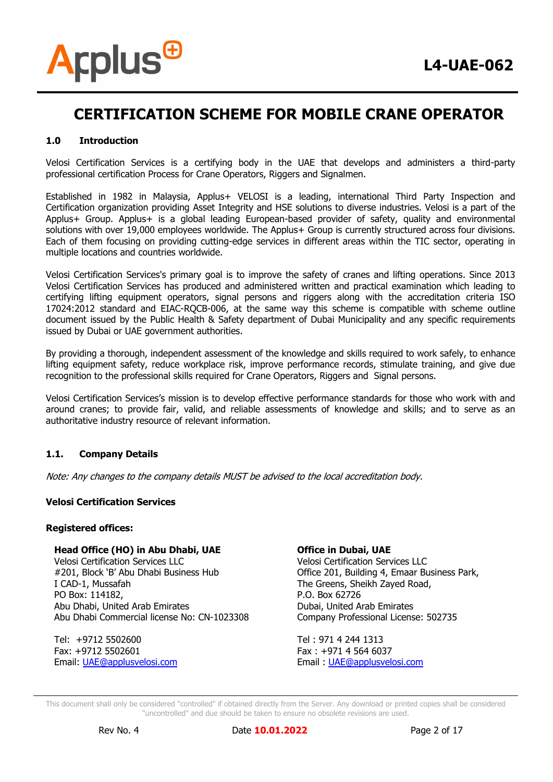

### **1.0 Introduction**

Velosi Certification Services is a certifying body in the UAE that develops and administers a third-party professional certification Process for Crane Operators, Riggers and Signalmen.

Established in 1982 in Malaysia, Applus+ VELOSI is a leading, international Third Party Inspection and Certification organization providing Asset Integrity and HSE solutions to diverse industries. Velosi is a part of the Applus+ Group. Applus+ is a global leading European-based provider of safety, quality and environmental solutions with over 19,000 employees worldwide. The Applus+ Group is currently structured across four divisions. Each of them focusing on providing cutting-edge services in different areas within the TIC sector, operating in multiple locations and countries worldwide.

Velosi Certification Services's primary goal is to improve the safety of cranes and lifting operations. Since 2013 Velosi Certification Services has produced and administered written and practical examination which leading to certifying lifting equipment operators, signal persons and riggers along with the accreditation criteria ISO 17024:2012 standard and EIAC-RQCB-006, at the same way this scheme is compatible with scheme outline document issued by the Public Health & Safety department of Dubai Municipality and any specific requirements issued by Dubai or UAE government authorities.

By providing a thorough, independent assessment of the knowledge and skills required to work safely, to enhance lifting equipment safety, reduce workplace risk, improve performance records, stimulate training, and give due recognition to the professional skills required for Crane Operators, Riggers and Signal persons.

Velosi Certification Services's mission is to develop effective performance standards for those who work with and around cranes; to provide fair, valid, and reliable assessments of knowledge and skills; and to serve as an authoritative industry resource of relevant information.

#### **1.1. Company Details**

Note: Any changes to the company details MUST be advised to the local accreditation body.

#### **Velosi Certification Services**

#### **Registered offices:**

#### **Head Office (HO) in Abu Dhabi, UAE**

Velosi Certification Services LLC #201, Block 'B' Abu Dhabi Business Hub I CAD-1, Mussafah PO Box: 114182, Abu Dhabi, United Arab Emirates Abu Dhabi Commercial license No: CN-1023308

Tel: +9712 5502600 Fax: +9712 5502601 Email: [UAE@applusvelosi.com](mailto:UAE@applusvelosi.com)

#### **Office in Dubai, UAE**

Velosi Certification Services LLC Office 201, Building 4, Emaar Business Park, The Greens, Sheikh Zayed Road, P.O. Box 62726 Dubai, United Arab Emirates Company Professional License: 502735

Tel : 971 4 244 1313 Fax : +971 4 564 6037 Email : [UAE@applusvelosi.com](mailto:UAE@applusvelosi.com)

This document shall only be considered "controlled" if obtained directly from the Server. Any download or printed copies shall be considered "uncontrolled" and due should be taken to ensure no obsolete revisions are used.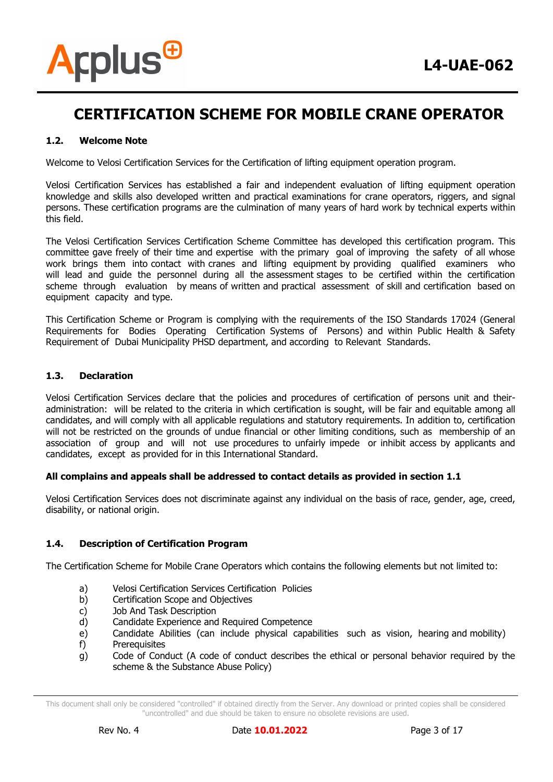

### **1.2. Welcome Note**

Welcome to Velosi Certification Services for the Certification of lifting equipment operation program.

Velosi Certification Services has established a fair and independent evaluation of lifting equipment operation knowledge and skills also developed written and practical examinations for crane operators, riggers, and signal persons. These certification programs are the culmination of many years of hard work by technical experts within this field.

The Velosi Certification Services Certification Scheme Committee has developed this certification program. This committee gave freely of their time and expertise with the primary goal of improving the safety of all whose work brings them into contact with cranes and lifting equipment by providing qualified examiners who will lead and guide the personnel during all the assessment stages to be certified within the certification scheme through evaluation by means of written and practical assessment of skill and certification based on equipment capacity and type.

This Certification Scheme or Program is complying with the requirements of the ISO Standards 17024 (General Requirements for Bodies Operating Certification Systems of Persons) and within Public Health & Safety Requirement of Dubai Municipality PHSD department, and according to Relevant Standards.

#### **1.3. Declaration**

Velosi Certification Services declare that the policies and procedures of certification of persons unit and theiradministration: will be related to the criteria in which certification is sought, will be fair and equitable among all candidates, and will comply with all applicable regulations and statutory requirements. In addition to, certification will not be restricted on the grounds of undue financial or other limiting conditions, such as membership of an association of group and will not use procedures to unfairly impede or inhibit access by applicants and candidates, except as provided for in this International Standard.

#### **All complains and appeals shall be addressed to contact details as provided in section 1.1**

Velosi Certification Services does not discriminate against any individual on the basis of race, gender, age, creed, disability, or national origin.

#### **1.4. Description of Certification Program**

The Certification Scheme for Mobile Crane Operators which contains the following elements but not limited to:

- a) Velosi Certification Services Certification Policies
- b) Certification Scope and Objectives
- c) Job And Task Description
- d) Candidate Experience and Required Competence
- e) Candidate Abilities (can include physical capabilities such as vision, hearing and mobility)
- f) Prerequisites
- g) Code of Conduct (A code of conduct describes the ethical or personal behavior required by the scheme & the Substance Abuse Policy)

This document shall only be considered "controlled" if obtained directly from the Server. Any download or printed copies shall be considered "uncontrolled" and due should be taken to ensure no obsolete revisions are used.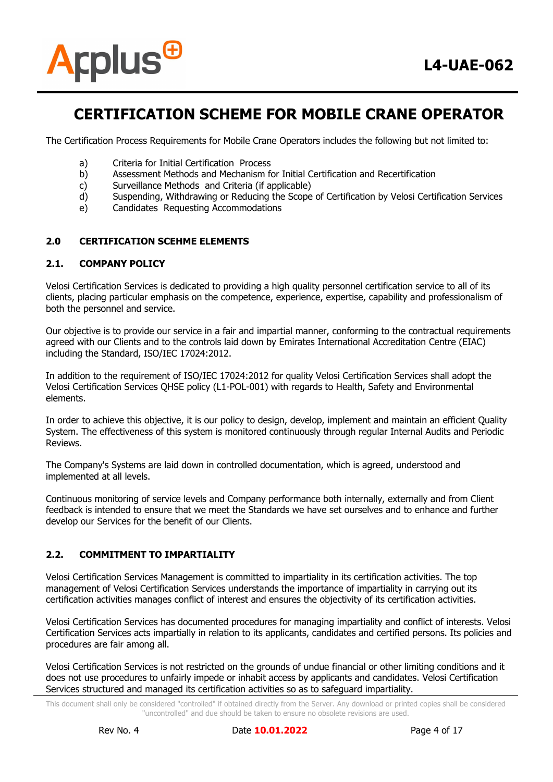

The Certification Process Requirements for Mobile Crane Operators includes the following but not limited to:

- a) Criteria for Initial Certification Process
- b) Assessment Methods and Mechanism for Initial Certification and Recertification
- c) Surveillance Methods and Criteria (if applicable)
- d) Suspending, Withdrawing or Reducing the Scope of Certification by Velosi Certification Services
- e) Candidates Requesting Accommodations

# **2.0 CERTIFICATION SCEHME ELEMENTS**

#### **2.1. COMPANY POLICY**

Velosi Certification Services is dedicated to providing a high quality personnel certification service to all of its clients, placing particular emphasis on the competence, experience, expertise, capability and professionalism of both the personnel and service.

Our objective is to provide our service in a fair and impartial manner, conforming to the contractual requirements agreed with our Clients and to the controls laid down by Emirates International Accreditation Centre (EIAC) including the Standard, ISO/IEC 17024:2012.

In addition to the requirement of ISO/IEC 17024:2012 for quality Velosi Certification Services shall adopt the Velosi Certification Services QHSE policy (L1-POL-001) with regards to Health, Safety and Environmental elements.

In order to achieve this objective, it is our policy to design, develop, implement and maintain an efficient Quality System. The effectiveness of this system is monitored continuously through regular Internal Audits and Periodic Reviews.

The Company's Systems are laid down in controlled documentation, which is agreed, understood and implemented at all levels.

Continuous monitoring of service levels and Company performance both internally, externally and from Client feedback is intended to ensure that we meet the Standards we have set ourselves and to enhance and further develop our Services for the benefit of our Clients.

#### **2.2. COMMITMENT TO IMPARTIALITY**

Velosi Certification Services Management is committed to impartiality in its certification activities. The top management of Velosi Certification Services understands the importance of impartiality in carrying out its certification activities manages conflict of interest and ensures the objectivity of its certification activities.

Velosi Certification Services has documented procedures for managing impartiality and conflict of interests. Velosi Certification Services acts impartially in relation to its applicants, candidates and certified persons. Its policies and procedures are fair among all.

Velosi Certification Services is not restricted on the grounds of undue financial or other limiting conditions and it does not use procedures to unfairly impede or inhabit access by applicants and candidates. Velosi Certification Services structured and managed its certification activities so as to safeguard impartiality.

This document shall only be considered "controlled" if obtained directly from the Server. Any download or printed copies shall be considered "uncontrolled" and due should be taken to ensure no obsolete revisions are used.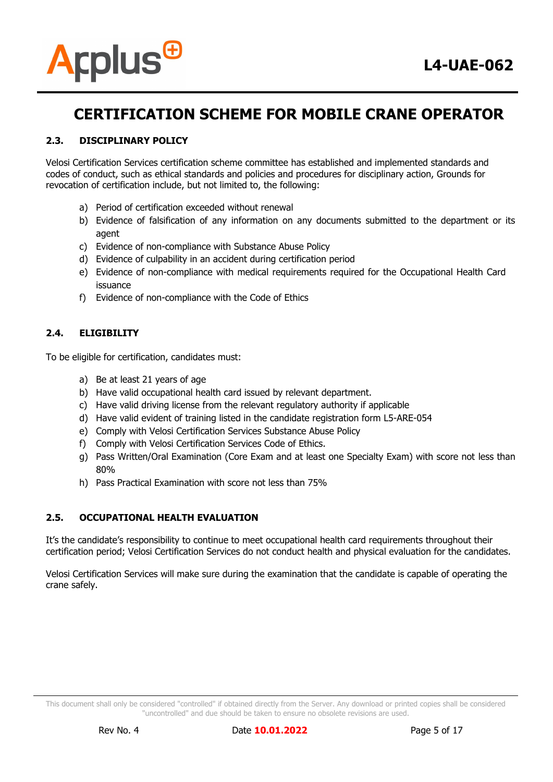

# **2.3. DISCIPLINARY POLICY**

Velosi Certification Services certification scheme committee has established and implemented standards and codes of conduct, such as ethical standards and policies and procedures for disciplinary action, Grounds for revocation of certification include, but not limited to, the following:

- a) Period of certification exceeded without renewal
- b) Evidence of falsification of any information on any documents submitted to the department or its agent
- c) Evidence of non-compliance with Substance Abuse Policy
- d) Evidence of culpability in an accident during certification period
- e) Evidence of non-compliance with medical requirements required for the Occupational Health Card issuance
- f) Evidence of non-compliance with the Code of Ethics

# **2.4. ELIGIBILITY**

To be eligible for certification, candidates must:

- a) Be at least 21 years of age
- b) Have valid occupational health card issued by relevant department.
- c) Have valid driving license from the relevant regulatory authority if applicable
- d) Have valid evident of training listed in the candidate registration form L5-ARE-054
- e) Comply with Velosi Certification Services Substance Abuse Policy
- f) Comply with Velosi Certification Services Code of Ethics.
- g) Pass Written/Oral Examination (Core Exam and at least one Specialty Exam) with score not less than 80%
- h) Pass Practical Examination with score not less than 75%

#### **2.5. OCCUPATIONAL HEALTH EVALUATION**

It's the candidate's responsibility to continue to meet occupational health card requirements throughout their certification period; Velosi Certification Services do not conduct health and physical evaluation for the candidates.

Velosi Certification Services will make sure during the examination that the candidate is capable of operating the crane safely.

This document shall only be considered "controlled" if obtained directly from the Server. Any download or printed copies shall be considered "uncontrolled" and due should be taken to ensure no obsolete revisions are used.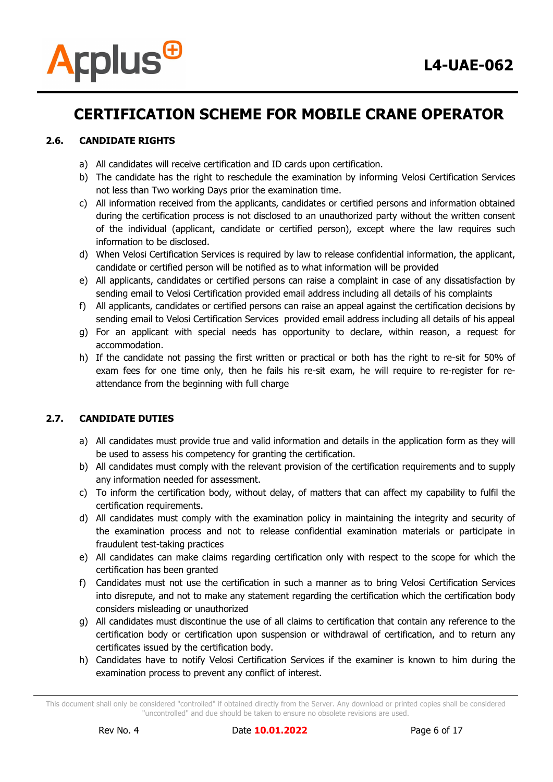

# **2.6. CANDIDATE RIGHTS**

- a) All candidates will receive certification and ID cards upon certification.
- b) The candidate has the right to reschedule the examination by informing Velosi Certification Services not less than Two working Days prior the examination time.
- c) All information received from the applicants, candidates or certified persons and information obtained during the certification process is not disclosed to an unauthorized party without the written consent of the individual (applicant, candidate or certified person), except where the law requires such information to be disclosed.
- d) When Velosi Certification Services is required by law to release confidential information, the applicant, candidate or certified person will be notified as to what information will be provided
- e) All applicants, candidates or certified persons can raise a complaint in case of any dissatisfaction by sending email to Velosi Certification provided email address including all details of his complaints
- f) All applicants, candidates or certified persons can raise an appeal against the certification decisions by sending email to Velosi Certification Services provided email address including all details of his appeal
- g) For an applicant with special needs has opportunity to declare, within reason, a request for accommodation.
- h) If the candidate not passing the first written or practical or both has the right to re-sit for 50% of exam fees for one time only, then he fails his re-sit exam, he will require to re-register for reattendance from the beginning with full charge

# **2.7. CANDIDATE DUTIES**

- a) All candidates must provide true and valid information and details in the application form as they will be used to assess his competency for granting the certification.
- b) All candidates must comply with the relevant provision of the certification requirements and to supply any information needed for assessment.
- c) To inform the certification body, without delay, of matters that can affect my capability to fulfil the certification requirements.
- d) All candidates must comply with the examination policy in maintaining the integrity and security of the examination process and not to release confidential examination materials or participate in fraudulent test-taking practices
- e) All candidates can make claims regarding certification only with respect to the scope for which the certification has been granted
- f) Candidates must not use the certification in such a manner as to bring Velosi Certification Services into disrepute, and not to make any statement regarding the certification which the certification body considers misleading or unauthorized
- g) All candidates must discontinue the use of all claims to certification that contain any reference to the certification body or certification upon suspension or withdrawal of certification, and to return any certificates issued by the certification body.
- h) Candidates have to notify Velosi Certification Services if the examiner is known to him during the examination process to prevent any conflict of interest.

This document shall only be considered "controlled" if obtained directly from the Server. Any download or printed copies shall be considered "uncontrolled" and due should be taken to ensure no obsolete revisions are used.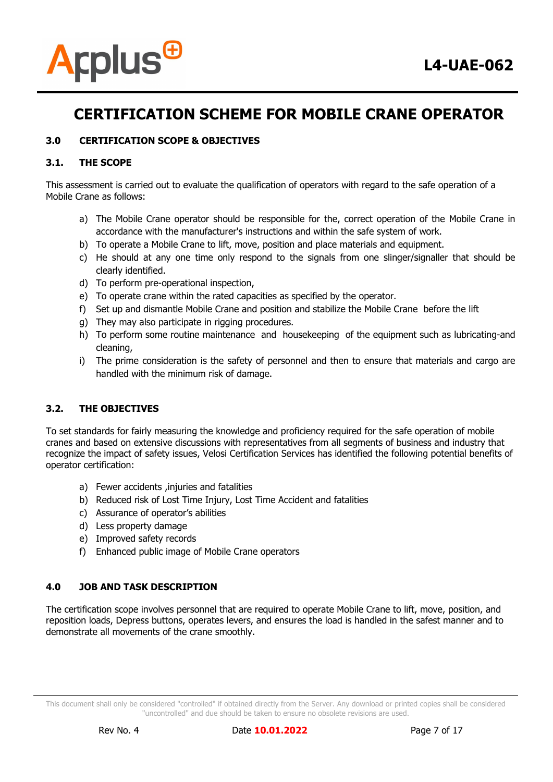

# **3.0 CERTIFICATION SCOPE & OBJECTIVES**

### **3.1. THE SCOPE**

This assessment is carried out to evaluate the qualification of operators with regard to the safe operation of a Mobile Crane as follows:

- a) The Mobile Crane operator should be responsible for the, correct operation of the Mobile Crane in accordance with the manufacturer's instructions and within the safe system of work.
- b) To operate a Mobile Crane to lift, move, position and place materials and equipment.
- c) He should at any one time only respond to the signals from one slinger/signaller that should be clearly identified.
- d) To perform pre-operational inspection,
- e) To operate crane within the rated capacities as specified by the operator.
- f) Set up and dismantle Mobile Crane and position and stabilize the Mobile Crane before the lift
- g) They may also participate in rigging procedures.
- h) To perform some routine maintenance and housekeeping of the equipment such as lubricating-and cleaning,
- i) The prime consideration is the safety of personnel and then to ensure that materials and cargo are handled with the minimum risk of damage.

# **3.2. THE OBJECTIVES**

To set standards for fairly measuring the knowledge and proficiency required for the safe operation of mobile cranes and based on extensive discussions with representatives from all segments of business and industry that recognize the impact of safety issues, Velosi Certification Services has identified the following potential benefits of operator certification:

- a) Fewer accidents ,injuries and fatalities
- b) Reduced risk of Lost Time Injury, Lost Time Accident and fatalities
- c) Assurance of operator's abilities
- d) Less property damage
- e) Improved safety records
- f) Enhanced public image of Mobile Crane operators

# **4.0 JOB AND TASK DESCRIPTION**

The certification scope involves personnel that are required to operate Mobile Crane to lift, move, position, and reposition loads, Depress buttons, operates levers, and ensures the load is handled in the safest manner and to demonstrate all movements of the crane smoothly.

This document shall only be considered "controlled" if obtained directly from the Server. Any download or printed copies shall be considered "uncontrolled" and due should be taken to ensure no obsolete revisions are used.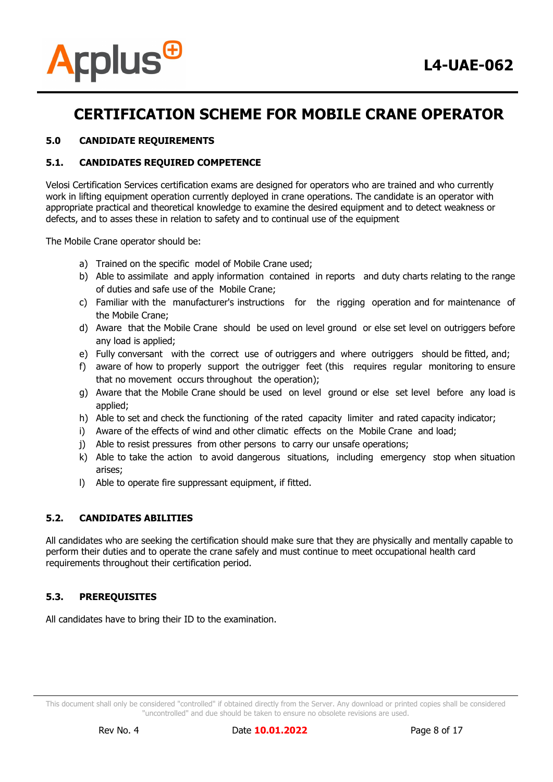

# **5.0 CANDIDATE REQUIREMENTS**

### **5.1. CANDIDATES REQUIRED COMPETENCE**

Velosi Certification Services certification exams are designed for operators who are trained and who currently work in lifting equipment operation currently deployed in crane operations. The candidate is an operator with appropriate practical and theoretical knowledge to examine the desired equipment and to detect weakness or defects, and to asses these in relation to safety and to continual use of the equipment

The Mobile Crane operator should be:

- a) Trained on the specific model of Mobile Crane used;
- b) Able to assimilate and apply information contained in reports and duty charts relating to the range of duties and safe use of the Mobile Crane;
- c) Familiar with the manufacturer's instructions for the rigging operation and for maintenance of the Mobile Crane;
- d) Aware that the Mobile Crane should be used on level ground or else set level on outriggers before any load is applied;
- e) Fully conversant with the correct use of outriggers and where outriggers should be fitted, and;
- f) aware of how to properly support the outrigger feet (this requires regular monitoring to ensure that no movement occurs throughout the operation);
- g) Aware that the Mobile Crane should be used on level ground or else set level before any load is applied;
- h) Able to set and check the functioning of the rated capacity limiter and rated capacity indicator;
- i) Aware of the effects of wind and other climatic effects on the Mobile Crane and load;
- j) Able to resist pressures from other persons to carry our unsafe operations;
- k) Able to take the action to avoid dangerous situations, including emergency stop when situation arises;
- l) Able to operate fire suppressant equipment, if fitted.

#### **5.2. CANDIDATES ABILITIES**

All candidates who are seeking the certification should make sure that they are physically and mentally capable to perform their duties and to operate the crane safely and must continue to meet occupational health card requirements throughout their certification period.

# **5.3. PREREQUISITES**

All candidates have to bring their ID to the examination.

This document shall only be considered "controlled" if obtained directly from the Server. Any download or printed copies shall be considered "uncontrolled" and due should be taken to ensure no obsolete revisions are used.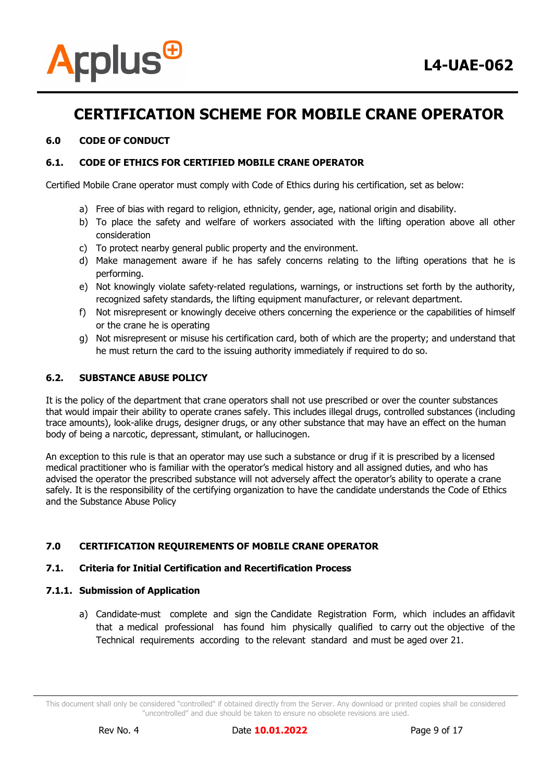

### **6.0 CODE OF CONDUCT**

### **6.1. CODE OF ETHICS FOR CERTIFIED MOBILE CRANE OPERATOR**

Certified Mobile Crane operator must comply with Code of Ethics during his certification, set as below:

- a) Free of bias with regard to religion, ethnicity, gender, age, national origin and disability.
- b) To place the safety and welfare of workers associated with the lifting operation above all other consideration
- c) To protect nearby general public property and the environment.
- d) Make management aware if he has safely concerns relating to the lifting operations that he is performing.
- e) Not knowingly violate safety-related regulations, warnings, or instructions set forth by the authority, recognized safety standards, the lifting equipment manufacturer, or relevant department.
- f) Not misrepresent or knowingly deceive others concerning the experience or the capabilities of himself or the crane he is operating
- g) Not misrepresent or misuse his certification card, both of which are the property; and understand that he must return the card to the issuing authority immediately if required to do so.

#### **6.2. SUBSTANCE ABUSE POLICY**

It is the policy of the department that crane operators shall not use prescribed or over the counter substances that would impair their ability to operate cranes safely. This includes illegal drugs, controlled substances (including trace amounts), look-alike drugs, designer drugs, or any other substance that may have an effect on the human body of being a narcotic, depressant, stimulant, or hallucinogen.

An exception to this rule is that an operator may use such a substance or drug if it is prescribed by a licensed medical practitioner who is familiar with the operator's medical history and all assigned duties, and who has advised the operator the prescribed substance will not adversely affect the operator's ability to operate a crane safely. It is the responsibility of the certifying organization to have the candidate understands the Code of Ethics and the Substance Abuse Policy

#### **7.0 CERTIFICATION REQUIREMENTS OF MOBILE CRANE OPERATOR**

#### **7.1. Criteria for Initial Certification and Recertification Process**

#### **7.1.1. Submission of Application**

a) Candidate-must complete and sign the Candidate Registration Form, which includes an affidavit that a medical professional has found him physically qualified to carry out the objective of the Technical requirements according to the relevant standard and must be aged over 21.

This document shall only be considered "controlled" if obtained directly from the Server. Any download or printed copies shall be considered "uncontrolled" and due should be taken to ensure no obsolete revisions are used.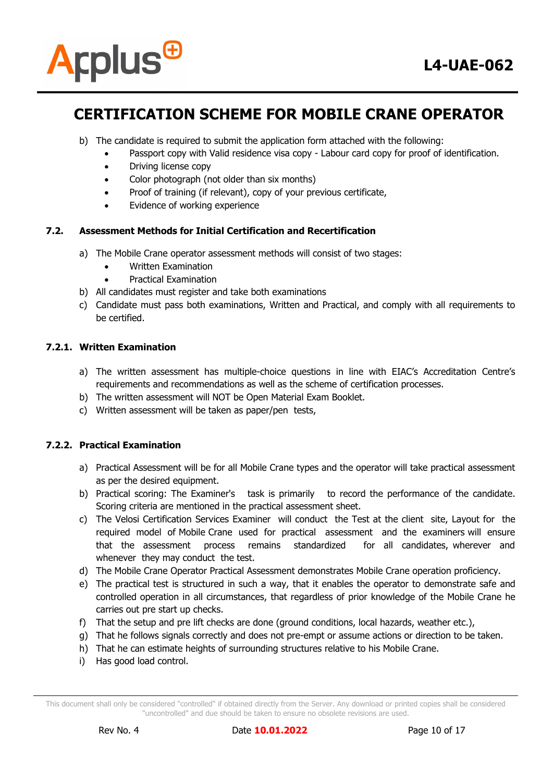



- b) The candidate is required to submit the application form attached with the following:
	- Passport copy with Valid residence visa copy Labour card copy for proof of identification.
	- Driving license copy
	- Color photograph (not older than six months)
	- Proof of training (if relevant), copy of your previous certificate,
	- Evidence of working experience

### **7.2. Assessment Methods for Initial Certification and Recertification**

- a) The Mobile Crane operator assessment methods will consist of two stages:
	- Written Examination
	- Practical Examination
- b) All candidates must register and take both examinations
- c) Candidate must pass both examinations, Written and Practical, and comply with all requirements to be certified.

### **7.2.1. Written Examination**

- a) The written assessment has multiple-choice questions in line with EIAC's Accreditation Centre's requirements and recommendations as well as the scheme of certification processes.
- b) The written assessment will NOT be Open Material Exam Booklet.
- c) Written assessment will be taken as paper/pen tests,

# **7.2.2. Practical Examination**

- a) Practical Assessment will be for all Mobile Crane types and the operator will take practical assessment as per the desired equipment.
- b) Practical scoring: The Examiner's task is primarily to record the performance of the candidate. Scoring criteria are mentioned in the practical assessment sheet.
- c) The Velosi Certification Services Examiner will conduct the Test at the client site, Layout for the required model of Mobile Crane used for practical assessment and the examiners will ensure that the assessment process remains standardized for all candidates, wherever and whenever they may conduct the test.
- d) The Mobile Crane Operator Practical Assessment demonstrates Mobile Crane operation proficiency.
- e) The practical test is structured in such a way, that it enables the operator to demonstrate safe and controlled operation in all circumstances, that regardless of prior knowledge of the Mobile Crane he carries out pre start up checks.
- f) That the setup and pre lift checks are done (ground conditions, local hazards, weather etc.),
- g) That he follows signals correctly and does not pre-empt or assume actions or direction to be taken.
- h) That he can estimate heights of surrounding structures relative to his Mobile Crane.
- i) Has good load control.

This document shall only be considered "controlled" if obtained directly from the Server. Any download or printed copies shall be considered "uncontrolled" and due should be taken to ensure no obsolete revisions are used.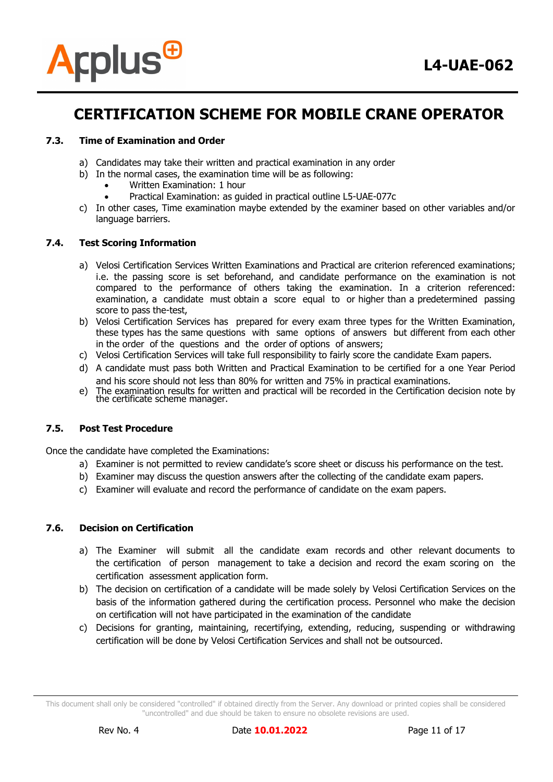

### **7.3. Time of Examination and Order**

- a) Candidates may take their written and practical examination in any order
- b) In the normal cases, the examination time will be as following:
	- Written Examination: 1 hour
	- Practical Examination: as guided in practical outline L5-UAE-077c
- c) In other cases, Time examination maybe extended by the examiner based on other variables and/or language barriers.

### **7.4. Test Scoring Information**

- a) Velosi Certification Services Written Examinations and Practical are criterion referenced examinations; i.e. the passing score is set beforehand, and candidate performance on the examination is not compared to the performance of others taking the examination. In a criterion referenced: examination, a candidate must obtain a score equal to or higher than a predetermined passing score to pass the-test,
- b) Velosi Certification Services has prepared for every exam three types for the Written Examination, these types has the same questions with same options of answers but different from each other in the order of the questions and the order of options of answers;
- c) Velosi Certification Services will take full responsibility to fairly score the candidate Exam papers.
- d) A candidate must pass both Written and Practical Examination to be certified for a one Year Period and his score should not less than 80% for written and 75% in practical examinations.
- e) The examination results for written and practical will be recorded in the Certification decision note by the certificate scheme manager.

#### **7.5. Post Test Procedure**

Once the candidate have completed the Examinations:

- a) Examiner is not permitted to review candidate's score sheet or discuss his performance on the test.
- b) Examiner may discuss the question answers after the collecting of the candidate exam papers.
- c) Examiner will evaluate and record the performance of candidate on the exam papers.

### **7.6. Decision on Certification**

- a) The Examiner will submit all the candidate exam records and other relevant documents to the certification of person management to take a decision and record the exam scoring on the certification assessment application form.
- b) The decision on certification of a candidate will be made solely by Velosi Certification Services on the basis of the information gathered during the certification process. Personnel who make the decision on certification will not have participated in the examination of the candidate
- c) Decisions for granting, maintaining, recertifying, extending, reducing, suspending or withdrawing certification will be done by Velosi Certification Services and shall not be outsourced.

This document shall only be considered "controlled" if obtained directly from the Server. Any download or printed copies shall be considered "uncontrolled" and due should be taken to ensure no obsolete revisions are used.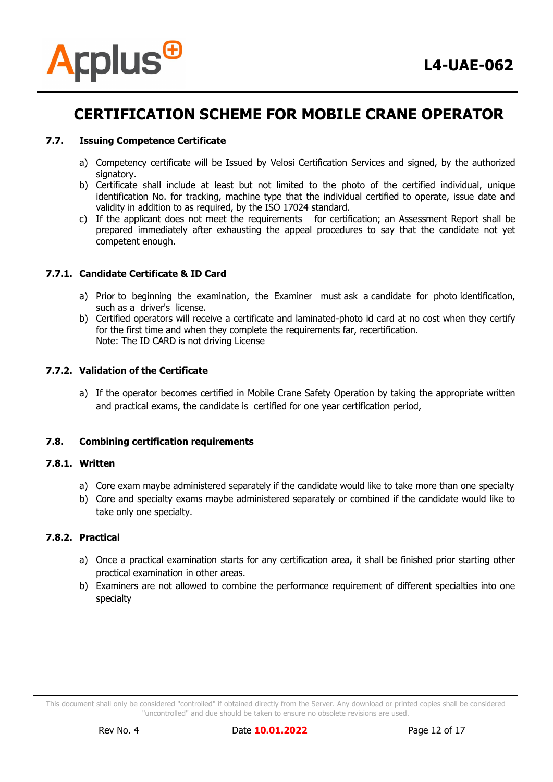

### **7.7. Issuing Competence Certificate**

- a) Competency certificate will be Issued by Velosi Certification Services and signed, by the authorized signatory.
- b) Certificate shall include at least but not limited to the photo of the certified individual, unique identification No. for tracking, machine type that the individual certified to operate, issue date and validity in addition to as required, by the ISO 17024 standard.
- c) If the applicant does not meet the requirements for certification; an Assessment Report shall be prepared immediately after exhausting the appeal procedures to say that the candidate not yet competent enough.

### **7.7.1. Candidate Certificate & ID Card**

- a) Prior to beginning the examination, the Examiner must ask a candidate for photo identification, such as a driver's license.
- b) Certified operators will receive a certificate and laminated-photo id card at no cost when they certify for the first time and when they complete the requirements far, recertification. Note: The ID CARD is not driving License

#### **7.7.2. Validation of the Certificate**

a) If the operator becomes certified in Mobile Crane Safety Operation by taking the appropriate written and practical exams, the candidate is certified for one year certification period,

### **7.8. Combining certification requirements**

# **7.8.1. Written**

- a) Core exam maybe administered separately if the candidate would like to take more than one specialty
- b) Core and specialty exams maybe administered separately or combined if the candidate would like to take only one specialty.

#### **7.8.2. Practical**

- a) Once a practical examination starts for any certification area, it shall be finished prior starting other practical examination in other areas.
- b) Examiners are not allowed to combine the performance requirement of different specialties into one specialty

This document shall only be considered "controlled" if obtained directly from the Server. Any download or printed copies shall be considered "uncontrolled" and due should be taken to ensure no obsolete revisions are used.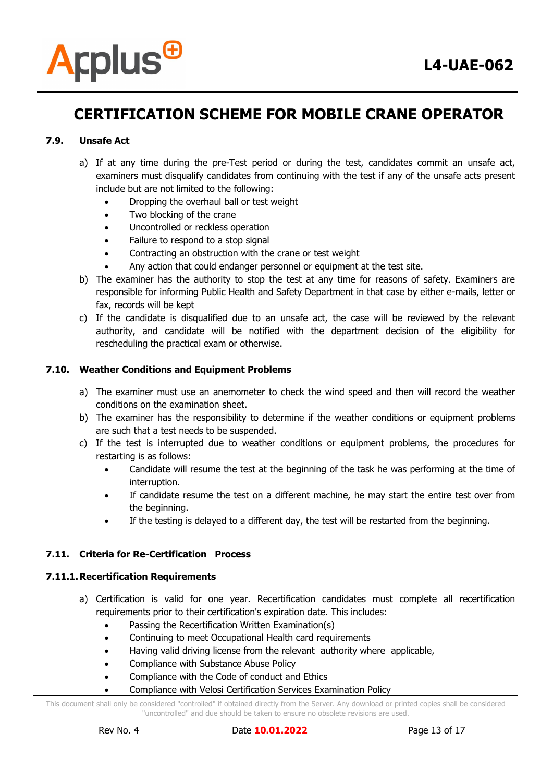

# **7.9. Unsafe Act**

- a) If at any time during the pre-Test period or during the test, candidates commit an unsafe act, examiners must disqualify candidates from continuing with the test if any of the unsafe acts present include but are not limited to the following:
	- Dropping the overhaul ball or test weight
	- Two blocking of the crane
	- Uncontrolled or reckless operation
	- Failure to respond to a stop signal
	- Contracting an obstruction with the crane or test weight
	- Any action that could endanger personnel or equipment at the test site.
- b) The examiner has the authority to stop the test at any time for reasons of safety. Examiners are responsible for informing Public Health and Safety Department in that case by either e-mails, letter or fax, records will be kept
- c) If the candidate is disqualified due to an unsafe act, the case will be reviewed by the relevant authority, and candidate will be notified with the department decision of the eligibility for rescheduling the practical exam or otherwise.

# **7.10. Weather Conditions and Equipment Problems**

- a) The examiner must use an anemometer to check the wind speed and then will record the weather conditions on the examination sheet.
- b) The examiner has the responsibility to determine if the weather conditions or equipment problems are such that a test needs to be suspended.
- c) If the test is interrupted due to weather conditions or equipment problems, the procedures for restarting is as follows:
	- Candidate will resume the test at the beginning of the task he was performing at the time of interruption.
	- If candidate resume the test on a different machine, he may start the entire test over from the beginning.
	- If the testing is delayed to a different day, the test will be restarted from the beginning.

# **7.11. Criteria for Re-Certification Process**

#### **7.11.1.Recertification Requirements**

- a) Certification is valid for one year. Recertification candidates must complete all recertification requirements prior to their certification's expiration date. This includes:
	- Passing the Recertification Written Examination(s)
	- Continuing to meet Occupational Health card requirements
	- Having valid driving license from the relevant authority where applicable,
	- Compliance with Substance Abuse Policy
	- Compliance with the Code of conduct and Ethics
	- Compliance with Velosi Certification Services Examination Policy

This document shall only be considered "controlled" if obtained directly from the Server. Any download or printed copies shall be considered "uncontrolled" and due should be taken to ensure no obsolete revisions are used.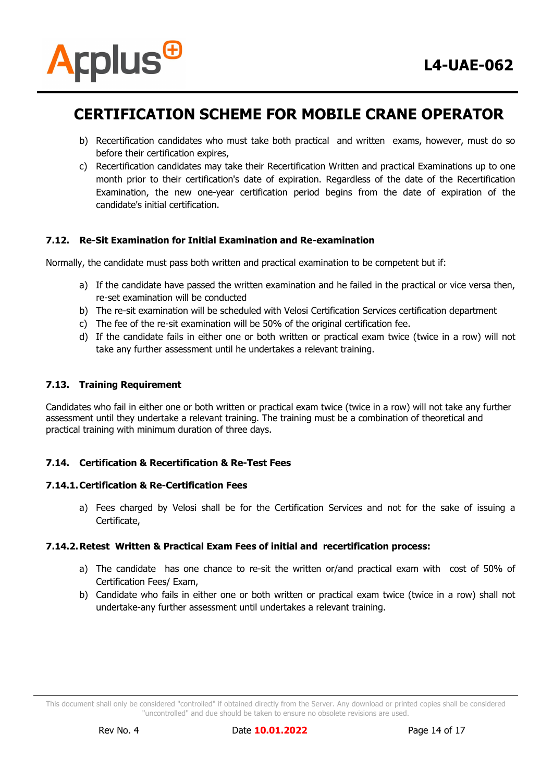

- b) Recertification candidates who must take both practical and written exams, however, must do so before their certification expires,
- c) Recertification candidates may take their Recertification Written and practical Examinations up to one month prior to their certification's date of expiration. Regardless of the date of the Recertification Examination, the new one-year certification period begins from the date of expiration of the candidate's initial certification.

# **7.12. Re-Sit Examination for Initial Examination and Re-examination**

Normally, the candidate must pass both written and practical examination to be competent but if:

- a) If the candidate have passed the written examination and he failed in the practical or vice versa then, re-set examination will be conducted
- b) The re-sit examination will be scheduled with Velosi Certification Services certification department
- c) The fee of the re-sit examination will be 50% of the original certification fee.
- d) If the candidate fails in either one or both written or practical exam twice (twice in a row) will not take any further assessment until he undertakes a relevant training.

### **7.13. Training Requirement**

Candidates who fail in either one or both written or practical exam twice (twice in a row) will not take any further assessment until they undertake a relevant training. The training must be a combination of theoretical and practical training with minimum duration of three days.

# **7.14. Certification & Recertification & Re-Test Fees**

#### **7.14.1.Certification & Re-Certification Fees**

a) Fees charged by Velosi shall be for the Certification Services and not for the sake of issuing a Certificate,

#### **7.14.2.Retest Written & Practical Exam Fees of initial and recertification process:**

- a) The candidate has one chance to re-sit the written or/and practical exam with cost of 50% of Certification Fees/ Exam,
- b) Candidate who fails in either one or both written or practical exam twice (twice in a row) shall not undertake-any further assessment until undertakes a relevant training.

This document shall only be considered "controlled" if obtained directly from the Server. Any download or printed copies shall be considered "uncontrolled" and due should be taken to ensure no obsolete revisions are used.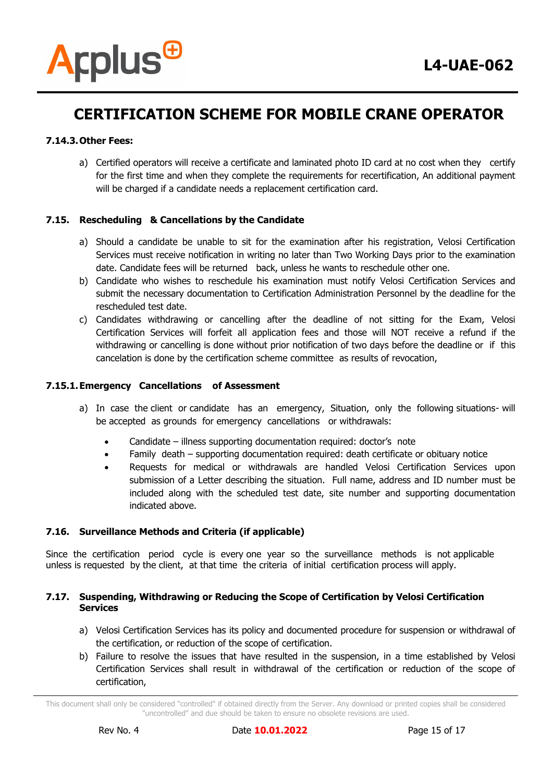### **7.14.3.Other Fees:**

a) Certified operators will receive a certificate and laminated photo ID card at no cost when they certify for the first time and when they complete the requirements for recertification, An additional payment will be charged if a candidate needs a replacement certification card.

### **7.15. Rescheduling & Cancellations by the Candidate**

- a) Should a candidate be unable to sit for the examination after his registration, Velosi Certification Services must receive notification in writing no later than Two Working Days prior to the examination date. Candidate fees will be returned back, unless he wants to reschedule other one.
- b) Candidate who wishes to reschedule his examination must notify Velosi Certification Services and submit the necessary documentation to Certification Administration Personnel by the deadline for the rescheduled test date.
- c) Candidates withdrawing or cancelling after the deadline of not sitting for the Exam, Velosi Certification Services will forfeit all application fees and those will NOT receive a refund if the withdrawing or cancelling is done without prior notification of two days before the deadline or if this cancelation is done by the certification scheme committee as results of revocation,

#### **7.15.1.Emergency Cancellations of Assessment**

- a) In case the client or candidate has an emergency, Situation, only the following situations- will be accepted as grounds for emergency cancellations or withdrawals:
	- Candidate illness supporting documentation required: doctor's note
	- Family death supporting documentation required: death certificate or obituary notice
	- Requests for medical or withdrawals are handled Velosi Certification Services upon submission of a Letter describing the situation. Full name, address and ID number must be included along with the scheduled test date, site number and supporting documentation indicated above.

#### **7.16. Surveillance Methods and Criteria (if applicable)**

Since the certification period cycle is every one year so the surveillance methods is not applicable unless is requested by the client, at that time the criteria of initial certification process will apply.

#### **7.17. Suspending, Withdrawing or Reducing the Scope of Certification by Velosi Certification Services**

- a) Velosi Certification Services has its policy and documented procedure for suspension or withdrawal of the certification, or reduction of the scope of certification.
- b) Failure to resolve the issues that have resulted in the suspension, in a time established by Velosi Certification Services shall result in withdrawal of the certification or reduction of the scope of certification,

This document shall only be considered "controlled" if obtained directly from the Server. Any download or printed copies shall be considered "uncontrolled" and due should be taken to ensure no obsolete revisions are used.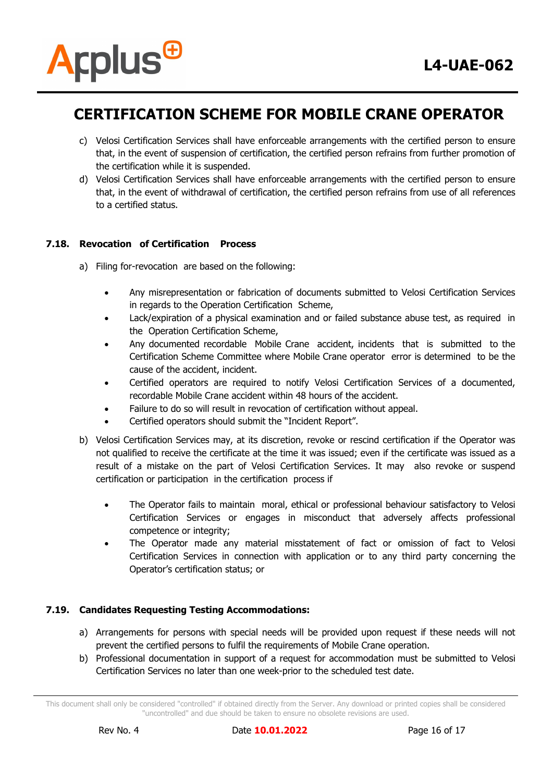

- c) Velosi Certification Services shall have enforceable arrangements with the certified person to ensure that, in the event of suspension of certification, the certified person refrains from further promotion of the certification while it is suspended.
- d) Velosi Certification Services shall have enforceable arrangements with the certified person to ensure that, in the event of withdrawal of certification, the certified person refrains from use of all references to a certified status.

# **7.18. Revocation of Certification Process**

- a) Filing for-revocation are based on the following:
	- Any misrepresentation or fabrication of documents submitted to Velosi Certification Services in regards to the Operation Certification Scheme,
	- Lack/expiration of a physical examination and or failed substance abuse test, as required in the Operation Certification Scheme,
	- Any documented recordable Mobile Crane accident, incidents that is submitted to the Certification Scheme Committee where Mobile Crane operator error is determined to be the cause of the accident, incident.
	- Certified operators are required to notify Velosi Certification Services of a documented, recordable Mobile Crane accident within 48 hours of the accident.
	- Failure to do so will result in revocation of certification without appeal.
	- Certified operators should submit the "Incident Report".
- b) Velosi Certification Services may, at its discretion, revoke or rescind certification if the Operator was not qualified to receive the certificate at the time it was issued; even if the certificate was issued as a result of a mistake on the part of Velosi Certification Services. It may also revoke or suspend certification or participation in the certification process if
	- The Operator fails to maintain moral, ethical or professional behaviour satisfactory to Velosi Certification Services or engages in misconduct that adversely affects professional competence or integrity;
	- The Operator made any material misstatement of fact or omission of fact to Velosi Certification Services in connection with application or to any third party concerning the Operator's certification status; or

# **7.19. Candidates Requesting Testing Accommodations:**

- a) Arrangements for persons with special needs will be provided upon request if these needs will not prevent the certified persons to fulfil the requirements of Mobile Crane operation.
- b) Professional documentation in support of a request for accommodation must be submitted to Velosi Certification Services no later than one week-prior to the scheduled test date.

This document shall only be considered "controlled" if obtained directly from the Server. Any download or printed copies shall be considered "uncontrolled" and due should be taken to ensure no obsolete revisions are used.